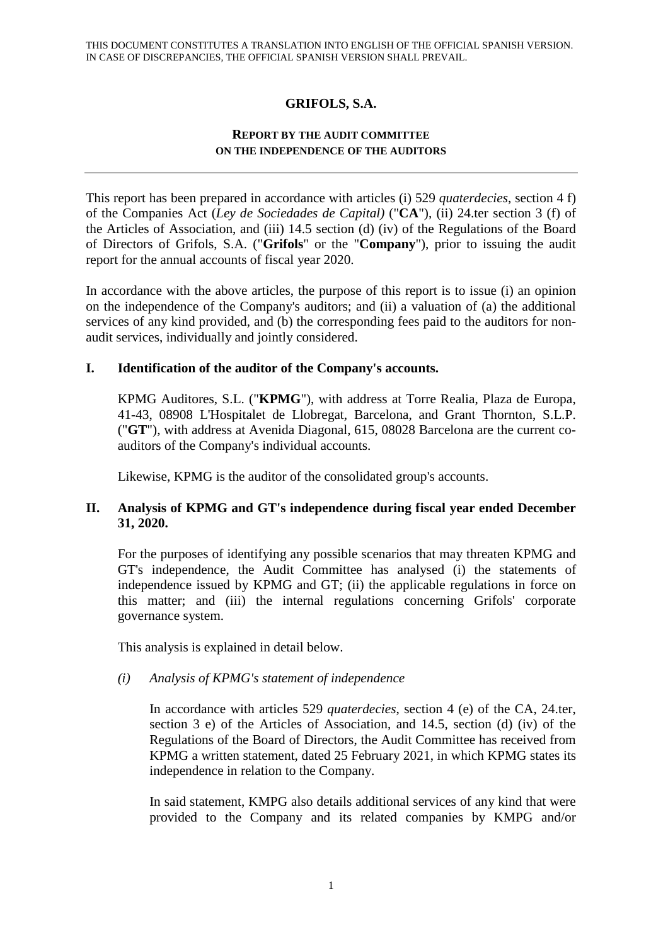# **GRIFOLS, S.A.**

## **REPORT BY THE AUDIT COMMITTEE ON THE INDEPENDENCE OF THE AUDITORS**

This report has been prepared in accordance with articles (i) 529 *quaterdecies*, section 4 f) of the Companies Act (*Ley de Sociedades de Capital)* ("**CA**"), (ii) 24.ter section 3 (f) of the Articles of Association, and (iii) 14.5 section (d) (iv) of the Regulations of the Board of Directors of Grifols, S.A. ("**Grifols**" or the "**Company**"), prior to issuing the audit report for the annual accounts of fiscal year 2020.

In accordance with the above articles, the purpose of this report is to issue (i) an opinion on the independence of the Company's auditors; and (ii) a valuation of (a) the additional services of any kind provided, and (b) the corresponding fees paid to the auditors for nonaudit services, individually and jointly considered.

## **I. Identification of the auditor of the Company's accounts.**

KPMG Auditores, S.L. ("**KPMG**"), with address at Torre Realia, Plaza de Europa, 41-43, 08908 L'Hospitalet de Llobregat, Barcelona, and Grant Thornton, S.L.P. ("**GT**"), with address at Avenida Diagonal, 615, 08028 Barcelona are the current coauditors of the Company's individual accounts.

Likewise, KPMG is the auditor of the consolidated group's accounts.

## **II. Analysis of KPMG and GT's independence during fiscal year ended December 31, 2020.**

For the purposes of identifying any possible scenarios that may threaten KPMG and GT's independence, the Audit Committee has analysed (i) the statements of independence issued by KPMG and GT; (ii) the applicable regulations in force on this matter; and (iii) the internal regulations concerning Grifols' corporate governance system.

This analysis is explained in detail below.

## *(i) Analysis of KPMG's statement of independence*

In accordance with articles 529 *quaterdecies*, section 4 (e) of the CA, 24.ter, section 3 e) of the Articles of Association, and 14.5, section (d) (iv) of the Regulations of the Board of Directors, the Audit Committee has received from KPMG a written statement, dated 25 February 2021, in which KPMG states its independence in relation to the Company.

In said statement, KMPG also details additional services of any kind that were provided to the Company and its related companies by KMPG and/or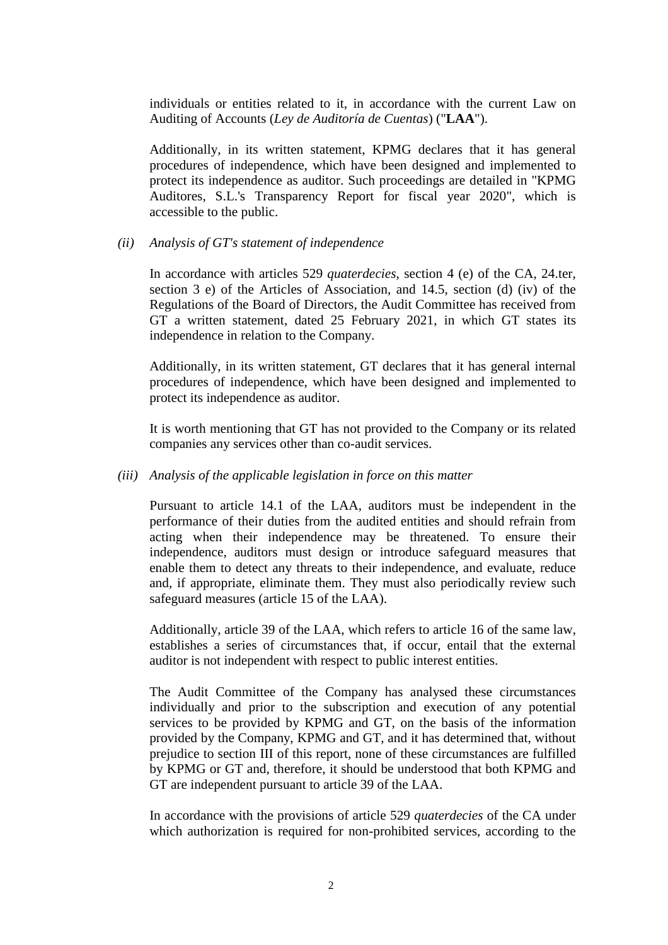individuals or entities related to it, in accordance with the current Law on Auditing of Accounts (*Ley de Auditoría de Cuentas*) ("**LAA**").

Additionally, in its written statement, KPMG declares that it has general procedures of independence, which have been designed and implemented to protect its independence as auditor. Such proceedings are detailed in "KPMG Auditores, S.L.'s Transparency Report for fiscal year 2020", which is accessible to the public.

#### *(ii) Analysis of GT's statement of independence*

In accordance with articles 529 *quaterdecies*, section 4 (e) of the CA, 24.ter, section 3 e) of the Articles of Association, and 14.5, section (d) (iv) of the Regulations of the Board of Directors, the Audit Committee has received from GT a written statement, dated 25 February 2021, in which GT states its independence in relation to the Company.

Additionally, in its written statement, GT declares that it has general internal procedures of independence, which have been designed and implemented to protect its independence as auditor.

It is worth mentioning that GT has not provided to the Company or its related companies any services other than co-audit services.

#### *(iii) Analysis of the applicable legislation in force on this matter*

Pursuant to article 14.1 of the LAA, auditors must be independent in the performance of their duties from the audited entities and should refrain from acting when their independence may be threatened. To ensure their independence, auditors must design or introduce safeguard measures that enable them to detect any threats to their independence, and evaluate, reduce and, if appropriate, eliminate them. They must also periodically review such safeguard measures (article 15 of the LAA).

Additionally, article 39 of the LAA, which refers to article 16 of the same law, establishes a series of circumstances that, if occur, entail that the external auditor is not independent with respect to public interest entities.

The Audit Committee of the Company has analysed these circumstances individually and prior to the subscription and execution of any potential services to be provided by KPMG and GT, on the basis of the information provided by the Company, KPMG and GT, and it has determined that, without prejudice to section III of this report, none of these circumstances are fulfilled by KPMG or GT and, therefore, it should be understood that both KPMG and GT are independent pursuant to article 39 of the LAA.

In accordance with the provisions of article 529 *quaterdecies* of the CA under which authorization is required for non-prohibited services, according to the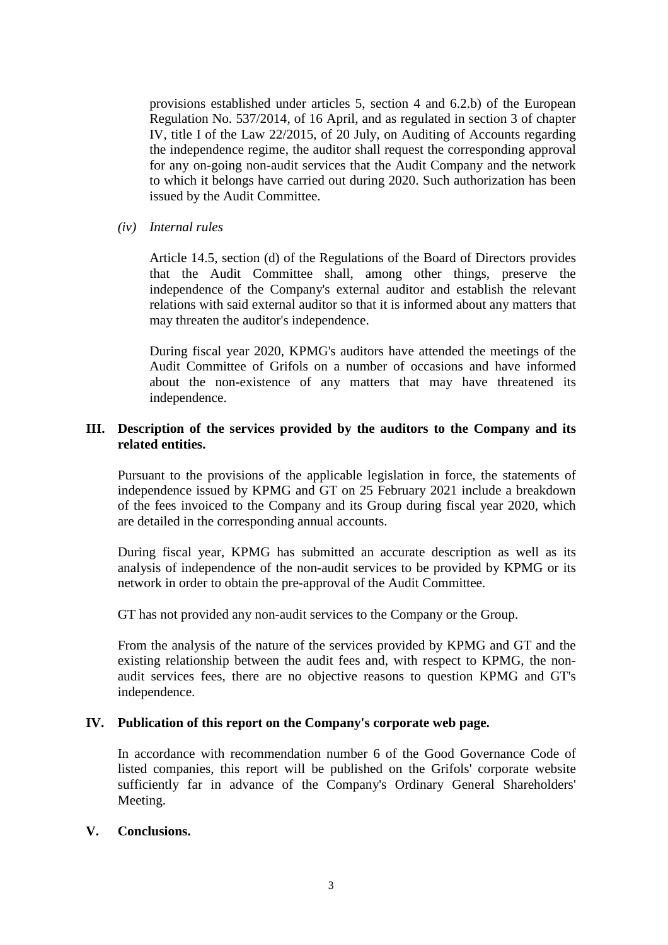provisions established under articles 5, section 4 and 6.2.b) of the European Regulation No. 537/2014, of 16 April, and as regulated in section 3 of chapter IV, title I of the Law 22/2015, of 20 July, on Auditing of Accounts regarding the independence regime, the auditor shall request the corresponding approval for any on-going non-audit services that the Audit Company and the network to which it belongs have carried out during 2020. Such authorization has been issued by the Audit Committee.

*(iv) Internal rules* 

Article 14.5, section (d) of the Regulations of the Board of Directors provides that the Audit Committee shall, among other things, preserve the independence of the Company's external auditor and establish the relevant relations with said external auditor so that it is informed about any matters that may threaten the auditor's independence.

During fiscal year 2020, KPMG's auditors have attended the meetings of the Audit Committee of Grifols on a number of occasions and have informed about the non-existence of any matters that may have threatened its independence.

### **III. Description of the services provided by the auditors to the Company and its related entities.**

Pursuant to the provisions of the applicable legislation in force, the statements of independence issued by KPMG and GT on 25 February 2021 include a breakdown of the fees invoiced to the Company and its Group during fiscal year 2020, which are detailed in the corresponding annual accounts.

During fiscal year, KPMG has submitted an accurate description as well as its analysis of independence of the non-audit services to be provided by KPMG or its network in order to obtain the pre-approval of the Audit Committee.

GT has not provided any non-audit services to the Company or the Group.

From the analysis of the nature of the services provided by KPMG and GT and the existing relationship between the audit fees and, with respect to KPMG, the nonaudit services fees, there are no objective reasons to question KPMG and GT's independence.

### **IV. Publication of this report on the Company's corporate web page.**

In accordance with recommendation number 6 of the Good Governance Code of listed companies, this report will be published on the Grifols' corporate website sufficiently far in advance of the Company's Ordinary General Shareholders' Meeting.

### **V. Conclusions.**